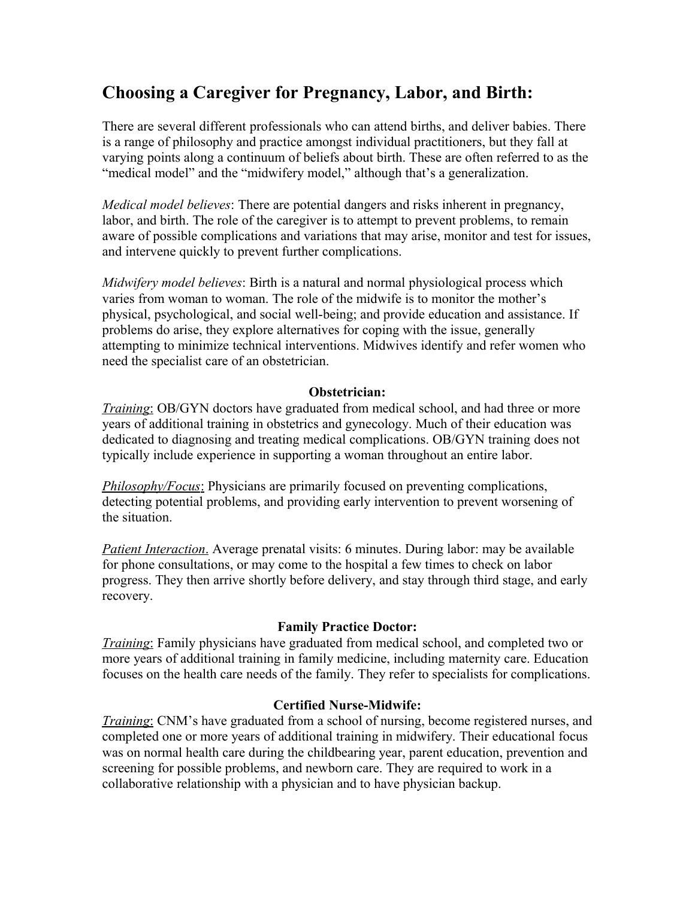# **Choosing a Caregiver for Pregnancy, Labor, and Birth:**

There are several different professionals who can attend births, and deliver babies. There is a range of philosophy and practice amongst individual practitioners, but they fall at varying points along a continuum of beliefs about birth. These are often referred to as the "medical model" and the "midwifery model," although that's a generalization.

*Medical model believes*: There are potential dangers and risks inherent in pregnancy, labor, and birth. The role of the caregiver is to attempt to prevent problems, to remain aware of possible complications and variations that may arise, monitor and test for issues, and intervene quickly to prevent further complications.

*Midwifery model believes*: Birth is a natural and normal physiological process which varies from woman to woman. The role of the midwife is to monitor the mother's physical, psychological, and social well-being; and provide education and assistance. If problems do arise, they explore alternatives for coping with the issue, generally attempting to minimize technical interventions. Midwives identify and refer women who need the specialist care of an obstetrician.

## **Obstetrician:**

*Training*: OB/GYN doctors have graduated from medical school, and had three or more years of additional training in obstetrics and gynecology. Much of their education was dedicated to diagnosing and treating medical complications. OB/GYN training does not typically include experience in supporting a woman throughout an entire labor.

**Philosophy/Focus:** Physicians are primarily focused on preventing complications, detecting potential problems, and providing early intervention to prevent worsening of the situation.

 *Patient Interaction*. Average prenatal visits: 6 minutes. During labor: may be available for phone consultations, or may come to the hospital a few times to check on labor progress. They then arrive shortly before delivery, and stay through third stage, and early recovery.

#### **Family Practice Doctor:**

*Training*: Family physicians have graduated from medical school, and completed two or more years of additional training in family medicine, including maternity care. Education focuses on the health care needs of the family. They refer to specialists for complications.

## **Certified Nurse-Midwife:**

*Training*: CNM's have graduated from a school of nursing, become registered nurses, and completed one or more years of additional training in midwifery. Their educational focus was on normal health care during the childbearing year, parent education, prevention and screening for possible problems, and newborn care. They are required to work in a collaborative relationship with a physician and to have physician backup.